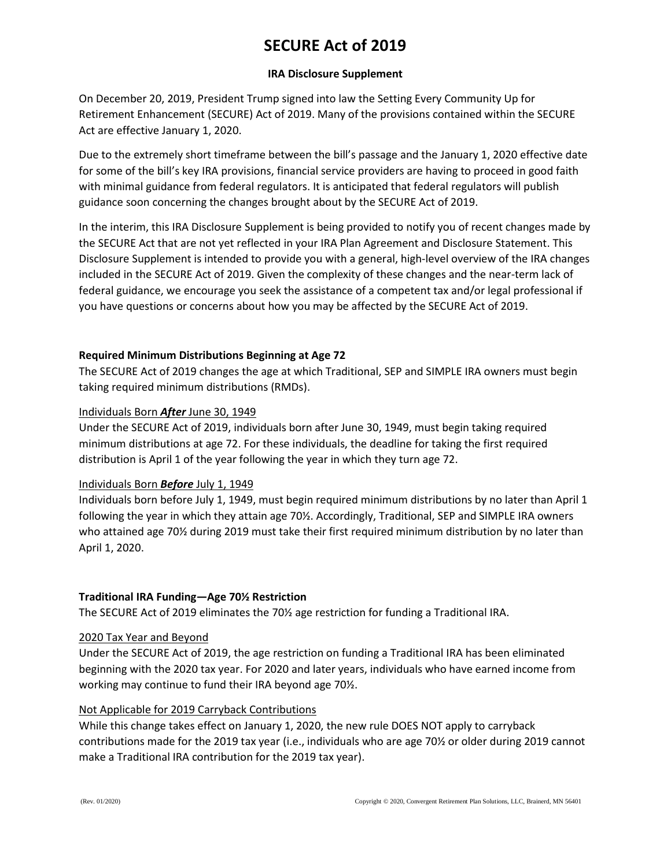# **SECURE Act of 2019**

# **IRA Disclosure Supplement**

On December 20, 2019, President Trump signed into law the Setting Every Community Up for Retirement Enhancement (SECURE) Act of 2019. Many of the provisions contained within the SECURE Act are effective January 1, 2020.

Due to the extremely short timeframe between the bill's passage and the January 1, 2020 effective date for some of the bill's key IRA provisions, financial service providers are having to proceed in good faith with minimal guidance from federal regulators. It is anticipated that federal regulators will publish guidance soon concerning the changes brought about by the SECURE Act of 2019.

In the interim, this IRA Disclosure Supplement is being provided to notify you of recent changes made by the SECURE Act that are not yet reflected in your IRA Plan Agreement and Disclosure Statement. This Disclosure Supplement is intended to provide you with a general, high-level overview of the IRA changes included in the SECURE Act of 2019. Given the complexity of these changes and the near-term lack of federal guidance, we encourage you seek the assistance of a competent tax and/or legal professional if you have questions or concerns about how you may be affected by the SECURE Act of 2019.

# **Required Minimum Distributions Beginning at Age 72**

The SECURE Act of 2019 changes the age at which Traditional, SEP and SIMPLE IRA owners must begin taking required minimum distributions (RMDs).

# Individuals Born *After* June 30, 1949

Under the SECURE Act of 2019, individuals born after June 30, 1949, must begin taking required minimum distributions at age 72. For these individuals, the deadline for taking the first required distribution is April 1 of the year following the year in which they turn age 72.

# Individuals Born *Before* July 1, 1949

Individuals born before July 1, 1949, must begin required minimum distributions by no later than April 1 following the year in which they attain age 70½. Accordingly, Traditional, SEP and SIMPLE IRA owners who attained age 70½ during 2019 must take their first required minimum distribution by no later than April 1, 2020.

# **Traditional IRA Funding—Age 70½ Restriction**

The SECURE Act of 2019 eliminates the 70½ age restriction for funding a Traditional IRA.

# 2020 Tax Year and Beyond

Under the SECURE Act of 2019, the age restriction on funding a Traditional IRA has been eliminated beginning with the 2020 tax year. For 2020 and later years, individuals who have earned income from working may continue to fund their IRA beyond age 70½.

# Not Applicable for 2019 Carryback Contributions

While this change takes effect on January 1, 2020, the new rule DOES NOT apply to carryback contributions made for the 2019 tax year (i.e., individuals who are age 70½ or older during 2019 cannot make a Traditional IRA contribution for the 2019 tax year).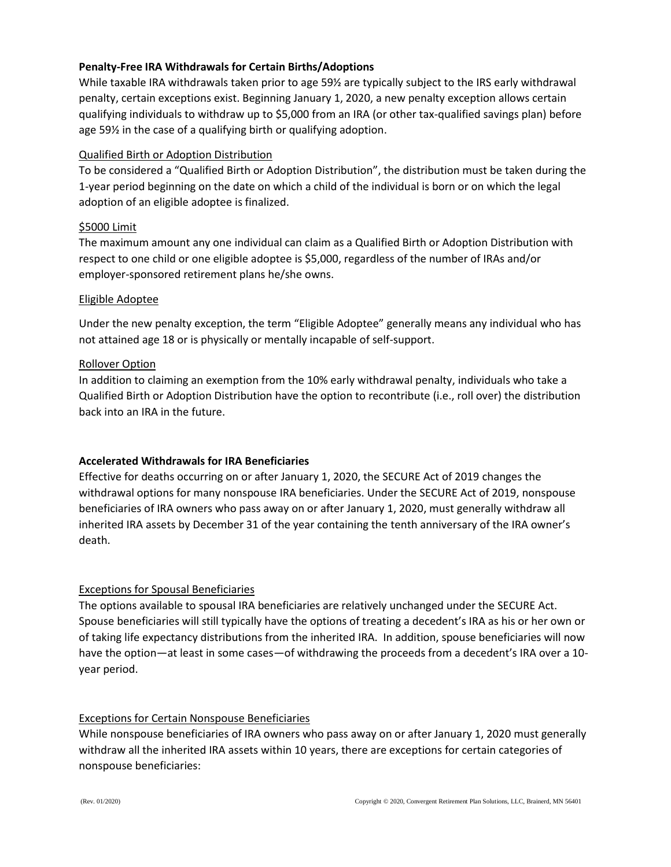# **Penalty-Free IRA Withdrawals for Certain Births/Adoptions**

While taxable IRA withdrawals taken prior to age 59½ are typically subject to the IRS early withdrawal penalty, certain exceptions exist. Beginning January 1, 2020, a new penalty exception allows certain qualifying individuals to withdraw up to \$5,000 from an IRA (or other tax-qualified savings plan) before age 59½ in the case of a qualifying birth or qualifying adoption.

# Qualified Birth or Adoption Distribution

To be considered a "Qualified Birth or Adoption Distribution", the distribution must be taken during the 1-year period beginning on the date on which a child of the individual is born or on which the legal adoption of an eligible adoptee is finalized.

#### \$5000 Limit

The maximum amount any one individual can claim as a Qualified Birth or Adoption Distribution with respect to one child or one eligible adoptee is \$5,000, regardless of the number of IRAs and/or employer-sponsored retirement plans he/she owns.

#### Eligible Adoptee

Under the new penalty exception, the term "Eligible Adoptee" generally means any individual who has not attained age 18 or is physically or mentally incapable of self-support.

#### Rollover Option

In addition to claiming an exemption from the 10% early withdrawal penalty, individuals who take a Qualified Birth or Adoption Distribution have the option to recontribute (i.e., roll over) the distribution back into an IRA in the future.

# **Accelerated Withdrawals for IRA Beneficiaries**

Effective for deaths occurring on or after January 1, 2020, the SECURE Act of 2019 changes the withdrawal options for many nonspouse IRA beneficiaries. Under the SECURE Act of 2019, nonspouse beneficiaries of IRA owners who pass away on or after January 1, 2020, must generally withdraw all inherited IRA assets by December 31 of the year containing the tenth anniversary of the IRA owner's death.

# Exceptions for Spousal Beneficiaries

The options available to spousal IRA beneficiaries are relatively unchanged under the SECURE Act. Spouse beneficiaries will still typically have the options of treating a decedent's IRA as his or her own or of taking life expectancy distributions from the inherited IRA. In addition, spouse beneficiaries will now have the option—at least in some cases—of withdrawing the proceeds from a decedent's IRA over a 10year period.

# Exceptions for Certain Nonspouse Beneficiaries

While nonspouse beneficiaries of IRA owners who pass away on or after January 1, 2020 must generally withdraw all the inherited IRA assets within 10 years, there are exceptions for certain categories of nonspouse beneficiaries: